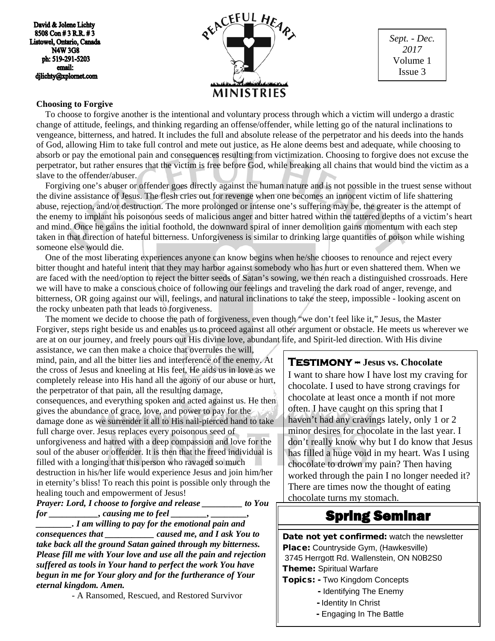David & Jolene Lichty 8508 Con #3 R.R. #3 Listowel, Ontario, Canada **N4W 3G8** ph: 519-291-5203 email: djlichty@xplornet.com



*Sept. - Dec. 2017* Volume 1 Issue 3

#### **Choosing to Forgive**

 To choose to forgive another is the intentional and voluntary process through which a victim will undergo a drastic change of attitude, feelings, and thinking regarding an offense/offender, while letting go of the natural inclinations to vengeance, bitterness, and hatred. It includes the full and absolute release of the perpetrator and his deeds into the hands of God, allowing Him to take full control and mete out justice, as He alone deems best and adequate, while choosing to absorb or pay the emotional pain and consequences resulting from victimization. Choosing to forgive does not excuse the perpetrator, but rather ensures that the victim is free before God, while breaking all chains that would bind the victim as a slave to the offender/abuser.

 Forgiving one's abuser or offender goes directly against the human nature and is not possible in the truest sense without the divine assistance of Jesus. The flesh cries out for revenge when one becomes an innocent victim of life shattering abuse, rejection, and/or destruction. The more prolonged or intense one's suffering may be, the greater is the attempt of the enemy to implant his poisonous seeds of malicious anger and bitter hatred within the tattered depths of a victim's heart and mind. Once he gains the initial foothold, the downward spiral of inner demolition gains momentum with each step taken in that direction of hateful bitterness. Unforgiveness is similar to drinking large quantities of poison while wishing someone else would die.

 One of the most liberating experiences anyone can know begins when he/she chooses to renounce and reject every bitter thought and hateful intent that they may harbor against somebody who has hurt or even shattered them. When we are faced with the need/option to reject the bitter seeds of Satan's sowing, we then reach a distinguished crossroads. Here we will have to make a conscious choice of following our feelings and traveling the dark road of anger, revenge, and bitterness, OR going against our will, feelings, and natural inclinations to take the steep, impossible - looking ascent on the rocky unbeaten path that leads to forgiveness.

 The moment we decide to choose the path of forgiveness, even though "we don't feel like it," Jesus, the Master Forgiver, steps right beside us and enables us to proceed against all other argument or obstacle. He meets us wherever we are at on our journey, and freely pours out His divine love, abundant life, and Spirit-led direction. With His divine

assistance, we can then make a choice that overrules the will, mind, pain, and all the bitter lies and interference of the enemy. At the cross of Jesus and kneeling at His feet, He aids us in love as we completely release into His hand all the agony of our abuse or hurt, the perpetrator of that pain, all the resulting damage, consequences, and everything spoken and acted against us. He then gives the abundance of grace, love, and power to pay for the damage done as we surrender it all to His nail-pierced hand to take full charge over. Jesus replaces every poisonous seed of unforgiveness and hatred with a deep compassion and love for the soul of the abuser or offender. It is then that the freed individual is filled with a longing that this person who ravaged so much destruction in his/her life would experience Jesus and join him/her in eternity's bliss! To reach this point is possible only through the healing touch and empowerment of Jesus!

*Prayer: Lord, I choose to forgive and release \_\_\_\_\_\_\_\_\_ to You for* \_\_\_\_\_\_\_\_\_\_\_, causing me to feel \_\_\_\_\_\_\_, \_\_\_\_\_

*\_\_\_\_\_\_\_\_. I am willing to pay for the emotional pain and consequences that \_\_\_\_\_\_\_\_\_\_\_ caused me, and I ask You to take back all the ground Satan gained through my bitterness. Please fill me with Your love and use all the pain and rejection suffered as tools in Your hand to perfect the work You have begun in me for Your glory and for the furtherance of Your eternal kingdom. Amen.*

- A Ransomed, Rescued, and Restored Survivor

#### **Testimony -- Jesus vs. Chocolate**

I want to share how I have lost my craving for chocolate. I used to have strong cravings for chocolate at least once a month if not more often. I have caught on this spring that I haven't had any cravings lately, only 1 or 2 minor desires for chocolate in the last year. I don't really know why but I do know that Jesus has filled a huge void in my heart. Was I using chocolate to drown my pain? Then having worked through the pain I no longer needed it? There are times now the thought of eating chocolate turns my stomach.

# Spring Seminar

Date not yet confirmed: watch the newsletter Place: Countryside Gym, (Hawkesville) 3745 Herrgott Rd. Wallenstein, ON N0B2S0 **Theme: Spiritual Warfare** Topics: - Two Kingdom Concepts

- Identifying The Enemy
- Identity In Christ
- Engaging In The Battle